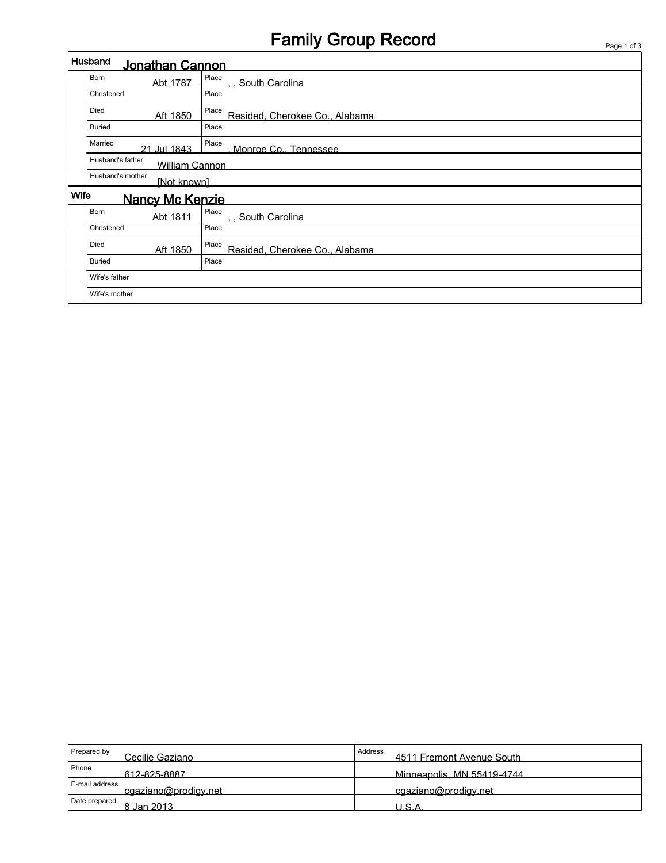# Family Group Record Page 1 of 3

| Husband<br>Jonathan Cannon     |                                           |                                         |  |  |  |  |  |
|--------------------------------|-------------------------------------------|-----------------------------------------|--|--|--|--|--|
|                                | <b>Born</b><br>Abt 1787                   | Place<br>South Carolina                 |  |  |  |  |  |
|                                | Christened                                | Place                                   |  |  |  |  |  |
|                                | Died<br>Aft 1850                          | Resided, Cherokee Co., Alabama          |  |  |  |  |  |
|                                | <b>Buried</b>                             | Place                                   |  |  |  |  |  |
|                                | Married<br>21 Jul 1843                    | Place<br>Monroe Co., Tennessee          |  |  |  |  |  |
|                                | Husband's father<br><b>William Cannon</b> |                                         |  |  |  |  |  |
|                                | Husband's mother<br>[Not known]           |                                         |  |  |  |  |  |
| Wife<br><b>Nancy Mc Kenzie</b> |                                           |                                         |  |  |  |  |  |
|                                | <b>Born</b><br>Abt 1811                   | Place<br>South Carolina                 |  |  |  |  |  |
|                                | Christened                                | Place                                   |  |  |  |  |  |
|                                | Died<br>Aft 1850                          | Place<br>Resided, Cherokee Co., Alabama |  |  |  |  |  |
|                                | <b>Buried</b>                             | Place                                   |  |  |  |  |  |
|                                | Wife's father                             |                                         |  |  |  |  |  |
|                                | Wife's mother                             |                                         |  |  |  |  |  |

| Prepared by<br>Cecilie Gaziano         | Address<br>4511 Fremont Avenue South |
|----------------------------------------|--------------------------------------|
| Phone<br>612-825-8887                  | Minneapolis, MN 55419-4744           |
| E-mail address<br>cgaziano@prodigy.net | cgaziano@prodigy.net                 |
| Date prepared<br>8 Jan 2013.           | U.S.A                                |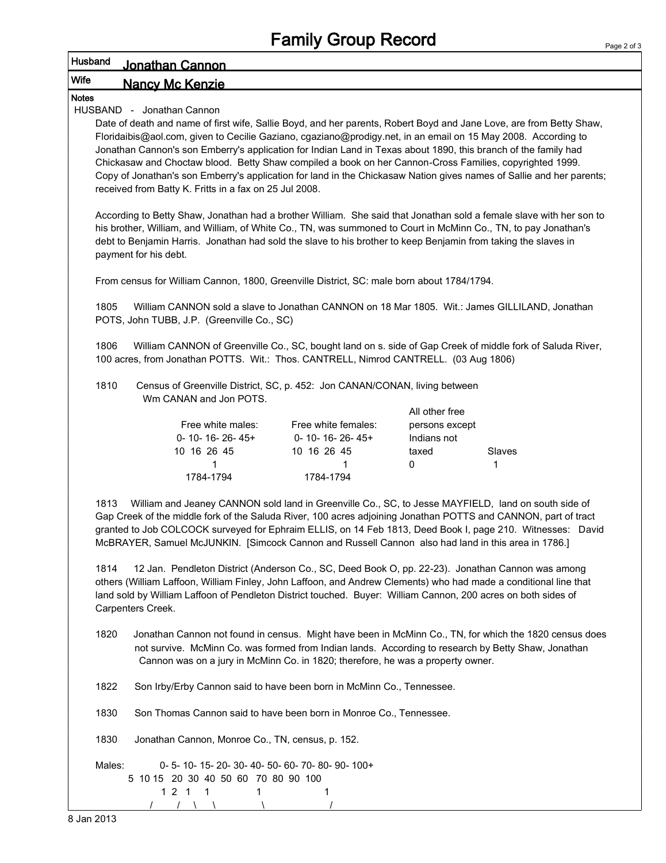#### Page 2 of 3

### Husband Jonathan Cannon

### Wife **Nancy Mc Kenzie**

### Notes

HUSBAND - Jonathan Cannon

Date of death and name of first wife, Sallie Boyd, and her parents, Robert Boyd and Jane Love, are from Betty Shaw, Floridaibis@aol.com, given to Cecilie Gaziano, cgaziano@prodigy.net, in an email on 15 May 2008. According to Jonathan Cannon's son Emberry's application for Indian Land in Texas about 1890, this branch of the family had Chickasaw and Choctaw blood. Betty Shaw compiled a book on her Cannon-Cross Families, copyrighted 1999. Copy of Jonathan's son Emberry's application for land in the Chickasaw Nation gives names of Sallie and her parents; received from Batty K. Fritts in a fax on 25 Jul 2008.

According to Betty Shaw, Jonathan had a brother William. She said that Jonathan sold a female slave with her son to his brother, William, and William, of White Co., TN, was summoned to Court in McMinn Co., TN, to pay Jonathan's debt to Benjamin Harris. Jonathan had sold the slave to his brother to keep Benjamin from taking the slaves in payment for his debt.

From census for William Cannon, 1800, Greenville District, SC: male born about 1784/1794.

1805 William CANNON sold a slave to Jonathan CANNON on 18 Mar 1805. Wit.: James GILLILAND, Jonathan POTS, John TUBB, J.P. (Greenville Co., SC)

1806 William CANNON of Greenville Co., SC, bought land on s. side of Gap Creek of middle fork of Saluda River, 100 acres, from Jonathan POTTS. Wit.: Thos. CANTRELL, Nimrod CANTRELL. (03 Aug 1806)

1810 Census of Greenville District, SC, p. 452: Jon CANAN/CONAN, living between Wm CANAN and Jon POTS.

|                           |                           | All other free |        |
|---------------------------|---------------------------|----------------|--------|
| Free white males:         | Free white females:       | persons except |        |
| $0 - 10 - 16 - 26 - 45 +$ | $0 - 10 - 16 - 26 - 45 +$ | Indians not    |        |
| 10 16 26 45               | 10 16 26 45               | taxed          | Slaves |
|                           |                           | $\mathbf{U}$   |        |
| 1784-1794                 | 1784-1794                 |                |        |

1813 William and Jeaney CANNON sold land in Greenville Co., SC, to Jesse MAYFIELD, land on south side of Gap Creek of the middle fork of the Saluda River, 100 acres adjoining Jonathan POTTS and CANNON, part of tract granted to Job COLCOCK surveyed for Ephraim ELLIS, on 14 Feb 1813, Deed Book I, page 210. Witnesses: David McBRAYER, Samuel McJUNKIN. [Simcock Cannon and Russell Cannon also had land in this area in 1786.]

1814 12 Jan. Pendleton District (Anderson Co., SC, Deed Book O, pp. 22-23). Jonathan Cannon was among others (William Laffoon, William Finley, John Laffoon, and Andrew Clements) who had made a conditional line that land sold by William Laffoon of Pendleton District touched. Buyer: William Cannon, 200 acres on both sides of Carpenters Creek.

- 1820 Jonathan Cannon not found in census. Might have been in McMinn Co., TN, for which the 1820 census does not survive. McMinn Co. was formed from Indian lands. According to research by Betty Shaw, Jonathan Cannon was on a jury in McMinn Co. in 1820; therefore, he was a property owner.
- 1822 Son Irby/Erby Cannon said to have been born in McMinn Co., Tennessee.

1830 Son Thomas Cannon said to have been born in Monroe Co., Tennessee.

1830 Jonathan Cannon, Monroe Co., TN, census, p. 152.

Males: 0- 5- 10- 15- 20- 30- 40- 50- 60- 70- 80- 90- 100+ 5 10 15 20 30 40 50 60 70 80 90 100 1 2 1 1 1 1 1

/ / \ \ \ /